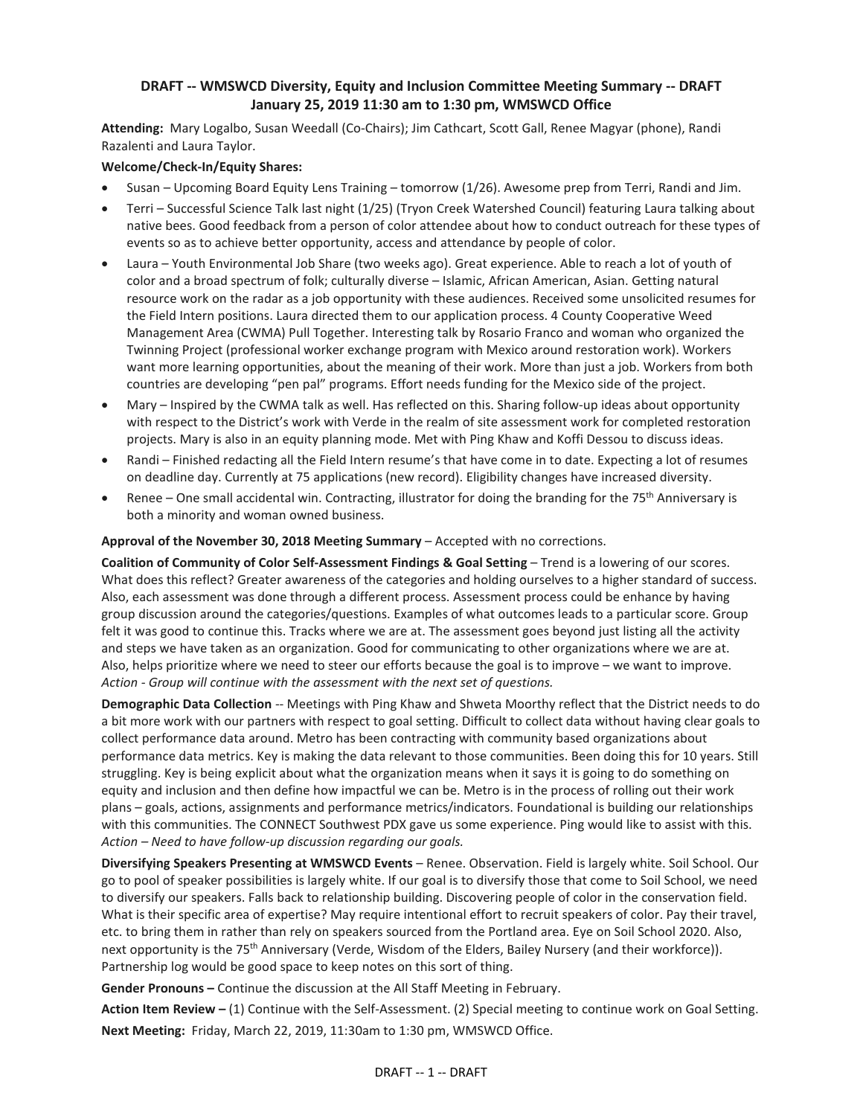## **DRAFT -- WMSWCD Diversity, Equity and Inclusion Committee Meeting Summary -- DRAFT January 25, 2019 11:30 am to 1:30 pm, WMSWCD Office**

**Attending:** Mary Logalbo, Susan Weedall (Co-Chairs); Jim Cathcart, Scott Gall, Renee Magyar (phone), Randi Razalenti and Laura Taylor.

#### **Welcome/Check-In/Equity Shares:**

- Susan Upcoming Board Equity Lens Training tomorrow (1/26). Awesome prep from Terri, Randi and Jim.
- Terri Successful Science Talk last night (1/25) (Tryon Creek Watershed Council) featuring Laura talking about native bees. Good feedback from a person of color attendee about how to conduct outreach for these types of events so as to achieve better opportunity, access and attendance by people of color.
- Laura Youth Environmental Job Share (two weeks ago). Great experience. Able to reach a lot of youth of color and a broad spectrum of folk; culturally diverse – Islamic, African American, Asian. Getting natural resource work on the radar as a job opportunity with these audiences. Received some unsolicited resumes for the Field Intern positions. Laura directed them to our application process. 4 County Cooperative Weed Management Area (CWMA) Pull Together. Interesting talk by Rosario Franco and woman who organized the Twinning Project (professional worker exchange program with Mexico around restoration work). Workers want more learning opportunities, about the meaning of their work. More than just a job. Workers from both countries are developing "pen pal" programs. Effort needs funding for the Mexico side of the project.
- Mary Inspired by the CWMA talk as well. Has reflected on this. Sharing follow-up ideas about opportunity with respect to the District's work with Verde in the realm of site assessment work for completed restoration projects. Mary is also in an equity planning mode. Met with Ping Khaw and Koffi Dessou to discuss ideas.
- Randi Finished redacting all the Field Intern resume's that have come in to date. Expecting a lot of resumes on deadline day. Currently at 75 applications (new record). Eligibility changes have increased diversity.
- Renee One small accidental win. Contracting, illustrator for doing the branding for the 75<sup>th</sup> Anniversary is both a minority and woman owned business.

#### **Approval of the November 30, 2018 Meeting Summary** – Accepted with no corrections.

**Coalition of Community of Color Self-Assessment Findings & Goal Setting** – Trend is a lowering of our scores. What does this reflect? Greater awareness of the categories and holding ourselves to a higher standard of success. Also, each assessment was done through a different process. Assessment process could be enhance by having group discussion around the categories/questions. Examples of what outcomes leads to a particular score. Group felt it was good to continue this. Tracks where we are at. The assessment goes beyond just listing all the activity and steps we have taken as an organization. Good for communicating to other organizations where we are at. Also, helps prioritize where we need to steer our efforts because the goal is to improve – we want to improve. *Action - Group will continue with the assessment with the next set of questions.*

**Demographic Data Collection** -- Meetings with Ping Khaw and Shweta Moorthy reflect that the District needs to do a bit more work with our partners with respect to goal setting. Difficult to collect data without having clear goals to collect performance data around. Metro has been contracting with community based organizations about performance data metrics. Key is making the data relevant to those communities. Been doing this for 10 years. Still struggling. Key is being explicit about what the organization means when it says it is going to do something on equity and inclusion and then define how impactful we can be. Metro is in the process of rolling out their work plans – goals, actions, assignments and performance metrics/indicators. Foundational is building our relationships with this communities. The CONNECT Southwest PDX gave us some experience. Ping would like to assist with this. *Action – Need to have follow-up discussion regarding our goals.* 

**Diversifying Speakers Presenting at WMSWCD Events** – Renee. Observation. Field is largely white. Soil School. Our go to pool of speaker possibilities is largely white. If our goal is to diversify those that come to Soil School, we need to diversify our speakers. Falls back to relationship building. Discovering people of color in the conservation field. What is their specific area of expertise? May require intentional effort to recruit speakers of color. Pay their travel, etc. to bring them in rather than rely on speakers sourced from the Portland area. Eye on Soil School 2020. Also, next opportunity is the 75<sup>th</sup> Anniversary (Verde, Wisdom of the Elders, Bailey Nursery (and their workforce)). Partnership log would be good space to keep notes on this sort of thing.

**Gender Pronouns –** Continue the discussion at the All Staff Meeting in February.

**Action Item Review –** (1) Continue with the Self-Assessment. (2) Special meeting to continue work on Goal Setting. **Next Meeting:** Friday, March 22, 2019, 11:30am to 1:30 pm, WMSWCD Office.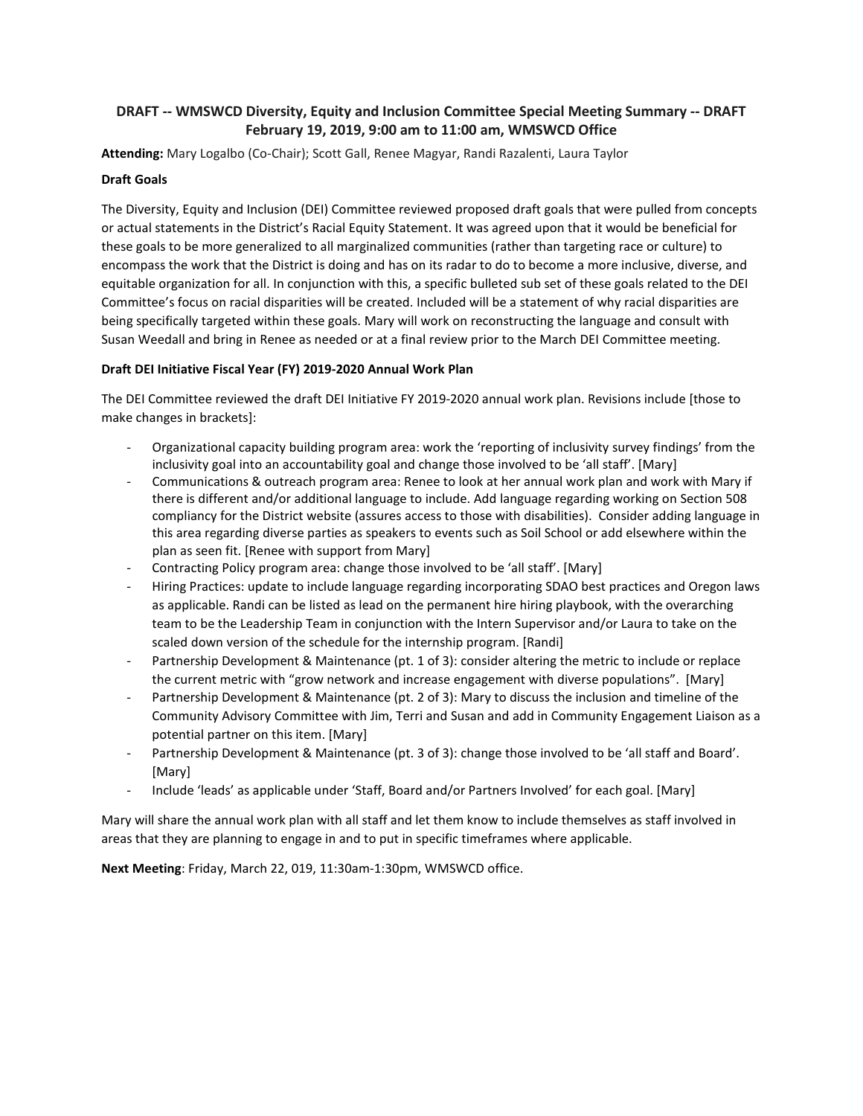## **DRAFT -- WMSWCD Diversity, Equity and Inclusion Committee Special Meeting Summary -- DRAFT February 19, 2019, 9:00 am to 11:00 am, WMSWCD Office**

**Attending:** Mary Logalbo (Co-Chair); Scott Gall, Renee Magyar, Randi Razalenti, Laura Taylor

#### **Draft Goals**

The Diversity, Equity and Inclusion (DEI) Committee reviewed proposed draft goals that were pulled from concepts or actual statements in the District's Racial Equity Statement. It was agreed upon that it would be beneficial for these goals to be more generalized to all marginalized communities (rather than targeting race or culture) to encompass the work that the District is doing and has on its radar to do to become a more inclusive, diverse, and equitable organization for all. In conjunction with this, a specific bulleted sub set of these goals related to the DEI Committee's focus on racial disparities will be created. Included will be a statement of why racial disparities are being specifically targeted within these goals. Mary will work on reconstructing the language and consult with Susan Weedall and bring in Renee as needed or at a final review prior to the March DEI Committee meeting.

#### **Draft DEI Initiative Fiscal Year (FY) 2019-2020 Annual Work Plan**

The DEI Committee reviewed the draft DEI Initiative FY 2019-2020 annual work plan. Revisions include [those to make changes in brackets]:

- Organizational capacity building program area: work the 'reporting of inclusivity survey findings' from the inclusivity goal into an accountability goal and change those involved to be 'all staff'. [Mary]
- Communications & outreach program area: Renee to look at her annual work plan and work with Mary if there is different and/or additional language to include. Add language regarding working on Section 508 compliancy for the District website (assures access to those with disabilities). Consider adding language in this area regarding diverse parties as speakers to events such as Soil School or add elsewhere within the plan as seen fit. [Renee with support from Mary]
- Contracting Policy program area: change those involved to be 'all staff'. [Mary]
- Hiring Practices: update to include language regarding incorporating SDAO best practices and Oregon laws as applicable. Randi can be listed as lead on the permanent hire hiring playbook, with the overarching team to be the Leadership Team in conjunction with the Intern Supervisor and/or Laura to take on the scaled down version of the schedule for the internship program. [Randi]
- Partnership Development & Maintenance (pt. 1 of 3): consider altering the metric to include or replace the current metric with "grow network and increase engagement with diverse populations". [Mary]
- Partnership Development & Maintenance (pt. 2 of 3): Mary to discuss the inclusion and timeline of the Community Advisory Committee with Jim, Terri and Susan and add in Community Engagement Liaison as a potential partner on this item. [Mary]
- Partnership Development & Maintenance (pt. 3 of 3): change those involved to be 'all staff and Board'. [Mary]
- Include 'leads' as applicable under 'Staff, Board and/or Partners Involved' for each goal. [Mary]

Mary will share the annual work plan with all staff and let them know to include themselves as staff involved in areas that they are planning to engage in and to put in specific timeframes where applicable.

**Next Meeting**: Friday, March 22, 019, 11:30am-1:30pm, WMSWCD office.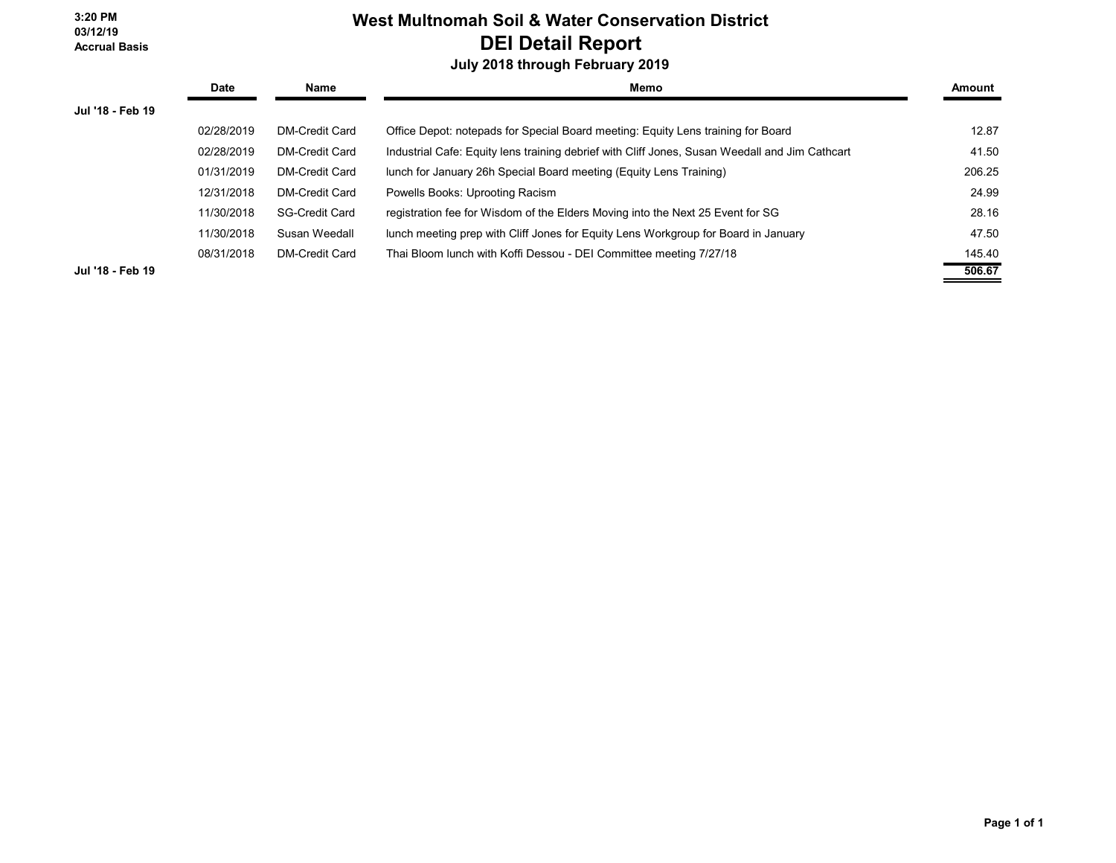**3:20 PM 03/12/19 Accrual Basis**

# **West Multnomah Soil & Water Conservation District DEI Detail Report**

## **July 2018 through February 2019**

|                  | Date       | Name                  | Memo                                                                                           | Amount |
|------------------|------------|-----------------------|------------------------------------------------------------------------------------------------|--------|
| Jul '18 - Feb 19 |            |                       |                                                                                                |        |
|                  | 02/28/2019 | DM-Credit Card        | Office Depot: notepads for Special Board meeting: Equity Lens training for Board               | 12.87  |
|                  | 02/28/2019 | <b>DM-Credit Card</b> | Industrial Cafe: Equity lens training debrief with Cliff Jones, Susan Weedall and Jim Cathcart | 41.50  |
|                  | 01/31/2019 | DM-Credit Card        | lunch for January 26h Special Board meeting (Equity Lens Training)                             | 206.25 |
|                  | 12/31/2018 | <b>DM-Credit Card</b> | Powells Books: Uprooting Racism                                                                | 24.99  |
|                  | 11/30/2018 | <b>SG-Credit Card</b> | registration fee for Wisdom of the Elders Moving into the Next 25 Event for SG                 | 28.16  |
|                  | 11/30/2018 | Susan Weedall         | lunch meeting prep with Cliff Jones for Equity Lens Workgroup for Board in January             | 47.50  |
|                  | 08/31/2018 | <b>DM-Credit Card</b> | Thai Bloom lunch with Koffi Dessou - DEI Committee meeting 7/27/18                             | 145.40 |
| Jul '18 - Feb 19 |            |                       |                                                                                                | 506.67 |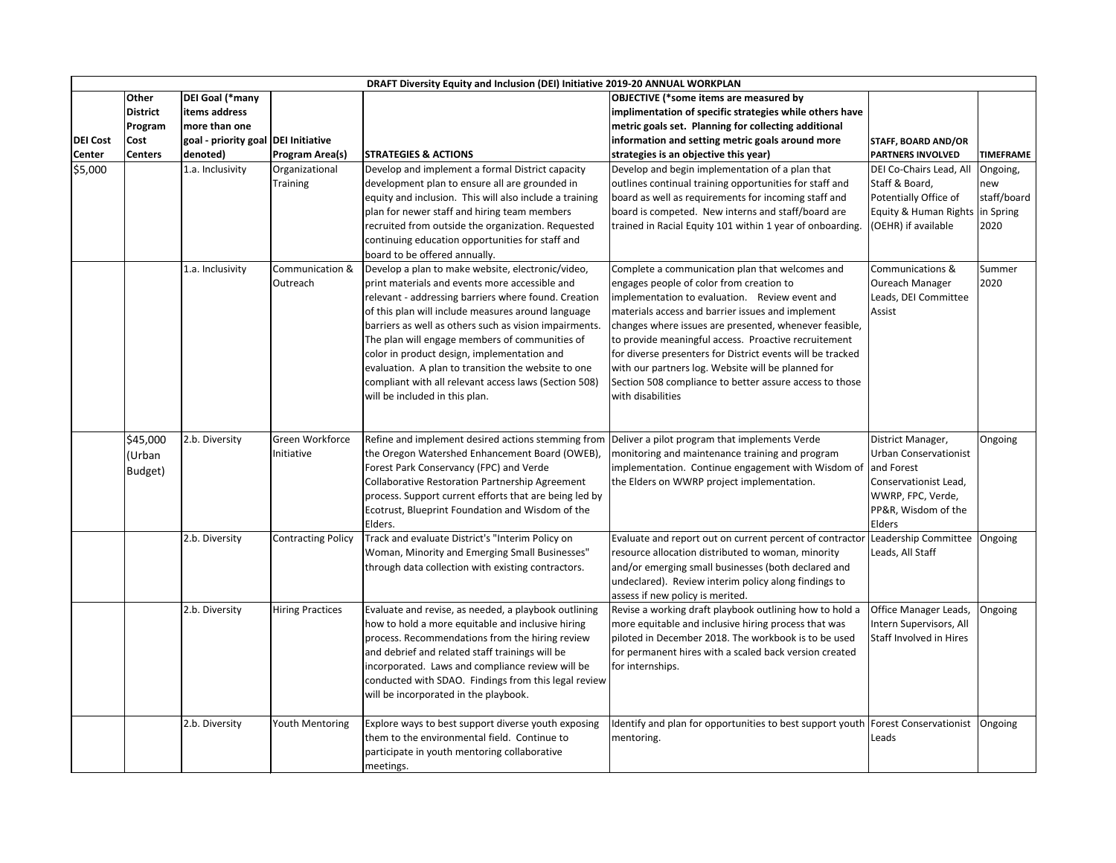| <b>Other</b><br>DEI Goal (*many<br><b>OBJECTIVE</b> (*some items are measured by<br><b>District</b><br>items address<br>implimentation of specific strategies while others have<br>more than one<br>metric goals set. Planning for collecting additional<br>Program<br>goal - priority goal DEI Initiative<br>information and setting metric goals around more<br><b>Cost</b><br><b>STAFF, BOARD AND/OR</b><br>strategies is an objective this year)<br><b>PARTNERS INVOLVED</b><br>denoted)<br><b>Program Area(s)</b><br><b>STRATEGIES &amp; ACTIONS</b><br><b>Centers</b><br><b>TIMEFRAME</b><br>DEI Co-Chairs Lead, All<br>1.a. Inclusivity<br>Organizational<br>Develop and implement a formal District capacity<br>Develop and begin implementation of a plan that<br>Ongoing,<br><b>Training</b><br>development plan to ensure all are grounded in<br>outlines continual training opportunities for staff and<br>Staff & Board,<br>new<br>Potentially Office of<br>staff/board<br>equity and inclusion. This will also include a training<br>board as well as requirements for incoming staff and<br>board is competed. New interns and staff/board are<br>plan for newer staff and hiring team members<br>Equity & Human Rights   in Spring<br>recruited from outside the organization. Requested<br>trained in Racial Equity 101 within 1 year of onboarding.<br>(OEHR) if available<br>2020<br>continuing education opportunities for staff and<br>board to be offered annually.<br>Develop a plan to make website, electronic/video,<br>1.a. Inclusivity<br>Communication &<br>Complete a communication plan that welcomes and<br>Communications &<br>Summer<br>print materials and events more accessible and<br>2020<br>engages people of color from creation to<br>Oureach Manager<br>Outreach<br>relevant - addressing barriers where found. Creation<br>implementation to evaluation. Review event and<br>Leads, DEI Committee<br>of this plan will include measures around language<br>materials access and barrier issues and implement<br>Assist<br>barriers as well as others such as vision impairments.<br>changes where issues are presented, whenever feasible,<br>The plan will engage members of communities of<br>to provide meaningful access. Proactive recruitement<br>color in product design, implementation and<br>for diverse presenters for District events will be tracked<br>evaluation. A plan to transition the website to one<br>with our partners log. Website will be planned for<br>compliant with all relevant access laws (Section 508)<br>Section 508 compliance to better assure access to those<br>will be included in this plan.<br>with disabilities<br>Green Workforce<br>Refine and implement desired actions stemming from Deliver a pilot program that implements Verde<br>\$45,000<br>2.b. Diversity<br>Ongoing<br>District Manager,<br>the Oregon Watershed Enhancement Board (OWEB),<br>monitoring and maintenance training and program<br><b>Urban Conservationist</b><br>Initiative<br>Urban)<br>Forest Park Conservancy (FPC) and Verde<br>implementation. Continue engagement with Wisdom of<br>and Forest<br>Budget)<br><b>Collaborative Restoration Partnership Agreement</b><br>the Elders on WWRP project implementation.<br>Conservationist Lead,<br>process. Support current efforts that are being led by<br>WWRP, FPC, Verde,<br>PP&R, Wisdom of the<br>Ecotrust, Blueprint Foundation and Wisdom of the<br>Elders<br>Elders.<br>2.b. Diversity<br>Track and evaluate District's "Interim Policy on<br>Leadership Committee<br>Ongoing<br><b>Contracting Policy</b><br>Evaluate and report out on current percent of contracto<br>resource allocation distributed to woman, minority<br>Woman, Minority and Emerging Small Businesses"<br>Leads, All Staff<br>and/or emerging small businesses (both declared and<br>through data collection with existing contractors.<br>undeclared). Review interim policy along findings to<br>assess if new policy is merited.<br>2.b. Diversity<br>Revise a working draft playbook outlining how to hold a<br><b>Hiring Practices</b><br>Evaluate and revise, as needed, a playbook outlining<br>Office Manager Leads,<br>Ongoing<br>how to hold a more equitable and inclusive hiring<br>more equitable and inclusive hiring process that was<br>Intern Supervisors, All<br>piloted in December 2018. The workbook is to be used<br>Staff Involved in Hires<br>process. Recommendations from the hiring review<br>and debrief and related staff trainings will be<br>for permanent hires with a scaled back version created<br>incorporated. Laws and compliance review will be<br>for internships.<br>conducted with SDAO. Findings from this legal review<br>will be incorporated in the playbook.<br>2.b. Diversity<br>Youth Mentoring<br>Explore ways to best support diverse youth exposing<br>Identify and plan for opportunities to best support youth Forest Conservationist<br>Ongoing<br>them to the environmental field. Continue to<br>mentoring.<br>Leads<br>participate in youth mentoring collaborative |                 |  | DRAFT Diversity Equity and Inclusion (DEI) Initiative 2019-20 ANNUAL WORKPLAN |  |  |
|-----------------------------------------------------------------------------------------------------------------------------------------------------------------------------------------------------------------------------------------------------------------------------------------------------------------------------------------------------------------------------------------------------------------------------------------------------------------------------------------------------------------------------------------------------------------------------------------------------------------------------------------------------------------------------------------------------------------------------------------------------------------------------------------------------------------------------------------------------------------------------------------------------------------------------------------------------------------------------------------------------------------------------------------------------------------------------------------------------------------------------------------------------------------------------------------------------------------------------------------------------------------------------------------------------------------------------------------------------------------------------------------------------------------------------------------------------------------------------------------------------------------------------------------------------------------------------------------------------------------------------------------------------------------------------------------------------------------------------------------------------------------------------------------------------------------------------------------------------------------------------------------------------------------------------------------------------------------------------------------------------------------------------------------------------------------------------------------------------------------------------------------------------------------------------------------------------------------------------------------------------------------------------------------------------------------------------------------------------------------------------------------------------------------------------------------------------------------------------------------------------------------------------------------------------------------------------------------------------------------------------------------------------------------------------------------------------------------------------------------------------------------------------------------------------------------------------------------------------------------------------------------------------------------------------------------------------------------------------------------------------------------------------------------------------------------------------------------------------------------------------------------------------------------------------------------------------------------------------------------------------------------------------------------------------------------------------------------------------------------------------------------------------------------------------------------------------------------------------------------------------------------------------------------------------------------------------------------------------------------------------------------------------------------------------------------------------------------------------------------------------------------------------------------------------------------------------------------------------------------------------------------------------------------------------------------------------------------------------------------------------------------------------------------------------------------------------------------------------------------------------------------------------------------------------------------------------------------------------------------------------------------------------------------------------------------------------------------------------------------------------------------------------------------------------------------------------------------------------------------------------------------------------------------------------------------------------------------------------------------------------------------------------------------------------------------------------------------------------------------------------------------------------------------------------------------------------------------------------------------------------------------------------------------------------------------------------------------------------------------------------------------------------------------------------------------------------------------------------------------------------------|-----------------|--|-------------------------------------------------------------------------------|--|--|
|                                                                                                                                                                                                                                                                                                                                                                                                                                                                                                                                                                                                                                                                                                                                                                                                                                                                                                                                                                                                                                                                                                                                                                                                                                                                                                                                                                                                                                                                                                                                                                                                                                                                                                                                                                                                                                                                                                                                                                                                                                                                                                                                                                                                                                                                                                                                                                                                                                                                                                                                                                                                                                                                                                                                                                                                                                                                                                                                                                                                                                                                                                                                                                                                                                                                                                                                                                                                                                                                                                                                                                                                                                                                                                                                                                                                                                                                                                                                                                                                                                                                                                                                                                                                                                                                                                                                                                                                                                                                                                                                                                                                                                                                                                                                                                                                                                                                                                                                                                                                                                                                                                                                   |                 |  |                                                                               |  |  |
|                                                                                                                                                                                                                                                                                                                                                                                                                                                                                                                                                                                                                                                                                                                                                                                                                                                                                                                                                                                                                                                                                                                                                                                                                                                                                                                                                                                                                                                                                                                                                                                                                                                                                                                                                                                                                                                                                                                                                                                                                                                                                                                                                                                                                                                                                                                                                                                                                                                                                                                                                                                                                                                                                                                                                                                                                                                                                                                                                                                                                                                                                                                                                                                                                                                                                                                                                                                                                                                                                                                                                                                                                                                                                                                                                                                                                                                                                                                                                                                                                                                                                                                                                                                                                                                                                                                                                                                                                                                                                                                                                                                                                                                                                                                                                                                                                                                                                                                                                                                                                                                                                                                                   |                 |  |                                                                               |  |  |
|                                                                                                                                                                                                                                                                                                                                                                                                                                                                                                                                                                                                                                                                                                                                                                                                                                                                                                                                                                                                                                                                                                                                                                                                                                                                                                                                                                                                                                                                                                                                                                                                                                                                                                                                                                                                                                                                                                                                                                                                                                                                                                                                                                                                                                                                                                                                                                                                                                                                                                                                                                                                                                                                                                                                                                                                                                                                                                                                                                                                                                                                                                                                                                                                                                                                                                                                                                                                                                                                                                                                                                                                                                                                                                                                                                                                                                                                                                                                                                                                                                                                                                                                                                                                                                                                                                                                                                                                                                                                                                                                                                                                                                                                                                                                                                                                                                                                                                                                                                                                                                                                                                                                   |                 |  |                                                                               |  |  |
|                                                                                                                                                                                                                                                                                                                                                                                                                                                                                                                                                                                                                                                                                                                                                                                                                                                                                                                                                                                                                                                                                                                                                                                                                                                                                                                                                                                                                                                                                                                                                                                                                                                                                                                                                                                                                                                                                                                                                                                                                                                                                                                                                                                                                                                                                                                                                                                                                                                                                                                                                                                                                                                                                                                                                                                                                                                                                                                                                                                                                                                                                                                                                                                                                                                                                                                                                                                                                                                                                                                                                                                                                                                                                                                                                                                                                                                                                                                                                                                                                                                                                                                                                                                                                                                                                                                                                                                                                                                                                                                                                                                                                                                                                                                                                                                                                                                                                                                                                                                                                                                                                                                                   | <b>DEI Cost</b> |  |                                                                               |  |  |
|                                                                                                                                                                                                                                                                                                                                                                                                                                                                                                                                                                                                                                                                                                                                                                                                                                                                                                                                                                                                                                                                                                                                                                                                                                                                                                                                                                                                                                                                                                                                                                                                                                                                                                                                                                                                                                                                                                                                                                                                                                                                                                                                                                                                                                                                                                                                                                                                                                                                                                                                                                                                                                                                                                                                                                                                                                                                                                                                                                                                                                                                                                                                                                                                                                                                                                                                                                                                                                                                                                                                                                                                                                                                                                                                                                                                                                                                                                                                                                                                                                                                                                                                                                                                                                                                                                                                                                                                                                                                                                                                                                                                                                                                                                                                                                                                                                                                                                                                                                                                                                                                                                                                   | <b>Center</b>   |  |                                                                               |  |  |
|                                                                                                                                                                                                                                                                                                                                                                                                                                                                                                                                                                                                                                                                                                                                                                                                                                                                                                                                                                                                                                                                                                                                                                                                                                                                                                                                                                                                                                                                                                                                                                                                                                                                                                                                                                                                                                                                                                                                                                                                                                                                                                                                                                                                                                                                                                                                                                                                                                                                                                                                                                                                                                                                                                                                                                                                                                                                                                                                                                                                                                                                                                                                                                                                                                                                                                                                                                                                                                                                                                                                                                                                                                                                                                                                                                                                                                                                                                                                                                                                                                                                                                                                                                                                                                                                                                                                                                                                                                                                                                                                                                                                                                                                                                                                                                                                                                                                                                                                                                                                                                                                                                                                   | \$5,000         |  |                                                                               |  |  |
|                                                                                                                                                                                                                                                                                                                                                                                                                                                                                                                                                                                                                                                                                                                                                                                                                                                                                                                                                                                                                                                                                                                                                                                                                                                                                                                                                                                                                                                                                                                                                                                                                                                                                                                                                                                                                                                                                                                                                                                                                                                                                                                                                                                                                                                                                                                                                                                                                                                                                                                                                                                                                                                                                                                                                                                                                                                                                                                                                                                                                                                                                                                                                                                                                                                                                                                                                                                                                                                                                                                                                                                                                                                                                                                                                                                                                                                                                                                                                                                                                                                                                                                                                                                                                                                                                                                                                                                                                                                                                                                                                                                                                                                                                                                                                                                                                                                                                                                                                                                                                                                                                                                                   |                 |  |                                                                               |  |  |
|                                                                                                                                                                                                                                                                                                                                                                                                                                                                                                                                                                                                                                                                                                                                                                                                                                                                                                                                                                                                                                                                                                                                                                                                                                                                                                                                                                                                                                                                                                                                                                                                                                                                                                                                                                                                                                                                                                                                                                                                                                                                                                                                                                                                                                                                                                                                                                                                                                                                                                                                                                                                                                                                                                                                                                                                                                                                                                                                                                                                                                                                                                                                                                                                                                                                                                                                                                                                                                                                                                                                                                                                                                                                                                                                                                                                                                                                                                                                                                                                                                                                                                                                                                                                                                                                                                                                                                                                                                                                                                                                                                                                                                                                                                                                                                                                                                                                                                                                                                                                                                                                                                                                   |                 |  |                                                                               |  |  |
|                                                                                                                                                                                                                                                                                                                                                                                                                                                                                                                                                                                                                                                                                                                                                                                                                                                                                                                                                                                                                                                                                                                                                                                                                                                                                                                                                                                                                                                                                                                                                                                                                                                                                                                                                                                                                                                                                                                                                                                                                                                                                                                                                                                                                                                                                                                                                                                                                                                                                                                                                                                                                                                                                                                                                                                                                                                                                                                                                                                                                                                                                                                                                                                                                                                                                                                                                                                                                                                                                                                                                                                                                                                                                                                                                                                                                                                                                                                                                                                                                                                                                                                                                                                                                                                                                                                                                                                                                                                                                                                                                                                                                                                                                                                                                                                                                                                                                                                                                                                                                                                                                                                                   |                 |  |                                                                               |  |  |
|                                                                                                                                                                                                                                                                                                                                                                                                                                                                                                                                                                                                                                                                                                                                                                                                                                                                                                                                                                                                                                                                                                                                                                                                                                                                                                                                                                                                                                                                                                                                                                                                                                                                                                                                                                                                                                                                                                                                                                                                                                                                                                                                                                                                                                                                                                                                                                                                                                                                                                                                                                                                                                                                                                                                                                                                                                                                                                                                                                                                                                                                                                                                                                                                                                                                                                                                                                                                                                                                                                                                                                                                                                                                                                                                                                                                                                                                                                                                                                                                                                                                                                                                                                                                                                                                                                                                                                                                                                                                                                                                                                                                                                                                                                                                                                                                                                                                                                                                                                                                                                                                                                                                   |                 |  |                                                                               |  |  |
|                                                                                                                                                                                                                                                                                                                                                                                                                                                                                                                                                                                                                                                                                                                                                                                                                                                                                                                                                                                                                                                                                                                                                                                                                                                                                                                                                                                                                                                                                                                                                                                                                                                                                                                                                                                                                                                                                                                                                                                                                                                                                                                                                                                                                                                                                                                                                                                                                                                                                                                                                                                                                                                                                                                                                                                                                                                                                                                                                                                                                                                                                                                                                                                                                                                                                                                                                                                                                                                                                                                                                                                                                                                                                                                                                                                                                                                                                                                                                                                                                                                                                                                                                                                                                                                                                                                                                                                                                                                                                                                                                                                                                                                                                                                                                                                                                                                                                                                                                                                                                                                                                                                                   |                 |  |                                                                               |  |  |
|                                                                                                                                                                                                                                                                                                                                                                                                                                                                                                                                                                                                                                                                                                                                                                                                                                                                                                                                                                                                                                                                                                                                                                                                                                                                                                                                                                                                                                                                                                                                                                                                                                                                                                                                                                                                                                                                                                                                                                                                                                                                                                                                                                                                                                                                                                                                                                                                                                                                                                                                                                                                                                                                                                                                                                                                                                                                                                                                                                                                                                                                                                                                                                                                                                                                                                                                                                                                                                                                                                                                                                                                                                                                                                                                                                                                                                                                                                                                                                                                                                                                                                                                                                                                                                                                                                                                                                                                                                                                                                                                                                                                                                                                                                                                                                                                                                                                                                                                                                                                                                                                                                                                   |                 |  |                                                                               |  |  |
|                                                                                                                                                                                                                                                                                                                                                                                                                                                                                                                                                                                                                                                                                                                                                                                                                                                                                                                                                                                                                                                                                                                                                                                                                                                                                                                                                                                                                                                                                                                                                                                                                                                                                                                                                                                                                                                                                                                                                                                                                                                                                                                                                                                                                                                                                                                                                                                                                                                                                                                                                                                                                                                                                                                                                                                                                                                                                                                                                                                                                                                                                                                                                                                                                                                                                                                                                                                                                                                                                                                                                                                                                                                                                                                                                                                                                                                                                                                                                                                                                                                                                                                                                                                                                                                                                                                                                                                                                                                                                                                                                                                                                                                                                                                                                                                                                                                                                                                                                                                                                                                                                                                                   |                 |  |                                                                               |  |  |
|                                                                                                                                                                                                                                                                                                                                                                                                                                                                                                                                                                                                                                                                                                                                                                                                                                                                                                                                                                                                                                                                                                                                                                                                                                                                                                                                                                                                                                                                                                                                                                                                                                                                                                                                                                                                                                                                                                                                                                                                                                                                                                                                                                                                                                                                                                                                                                                                                                                                                                                                                                                                                                                                                                                                                                                                                                                                                                                                                                                                                                                                                                                                                                                                                                                                                                                                                                                                                                                                                                                                                                                                                                                                                                                                                                                                                                                                                                                                                                                                                                                                                                                                                                                                                                                                                                                                                                                                                                                                                                                                                                                                                                                                                                                                                                                                                                                                                                                                                                                                                                                                                                                                   |                 |  |                                                                               |  |  |
|                                                                                                                                                                                                                                                                                                                                                                                                                                                                                                                                                                                                                                                                                                                                                                                                                                                                                                                                                                                                                                                                                                                                                                                                                                                                                                                                                                                                                                                                                                                                                                                                                                                                                                                                                                                                                                                                                                                                                                                                                                                                                                                                                                                                                                                                                                                                                                                                                                                                                                                                                                                                                                                                                                                                                                                                                                                                                                                                                                                                                                                                                                                                                                                                                                                                                                                                                                                                                                                                                                                                                                                                                                                                                                                                                                                                                                                                                                                                                                                                                                                                                                                                                                                                                                                                                                                                                                                                                                                                                                                                                                                                                                                                                                                                                                                                                                                                                                                                                                                                                                                                                                                                   |                 |  |                                                                               |  |  |
|                                                                                                                                                                                                                                                                                                                                                                                                                                                                                                                                                                                                                                                                                                                                                                                                                                                                                                                                                                                                                                                                                                                                                                                                                                                                                                                                                                                                                                                                                                                                                                                                                                                                                                                                                                                                                                                                                                                                                                                                                                                                                                                                                                                                                                                                                                                                                                                                                                                                                                                                                                                                                                                                                                                                                                                                                                                                                                                                                                                                                                                                                                                                                                                                                                                                                                                                                                                                                                                                                                                                                                                                                                                                                                                                                                                                                                                                                                                                                                                                                                                                                                                                                                                                                                                                                                                                                                                                                                                                                                                                                                                                                                                                                                                                                                                                                                                                                                                                                                                                                                                                                                                                   |                 |  |                                                                               |  |  |
|                                                                                                                                                                                                                                                                                                                                                                                                                                                                                                                                                                                                                                                                                                                                                                                                                                                                                                                                                                                                                                                                                                                                                                                                                                                                                                                                                                                                                                                                                                                                                                                                                                                                                                                                                                                                                                                                                                                                                                                                                                                                                                                                                                                                                                                                                                                                                                                                                                                                                                                                                                                                                                                                                                                                                                                                                                                                                                                                                                                                                                                                                                                                                                                                                                                                                                                                                                                                                                                                                                                                                                                                                                                                                                                                                                                                                                                                                                                                                                                                                                                                                                                                                                                                                                                                                                                                                                                                                                                                                                                                                                                                                                                                                                                                                                                                                                                                                                                                                                                                                                                                                                                                   |                 |  |                                                                               |  |  |
|                                                                                                                                                                                                                                                                                                                                                                                                                                                                                                                                                                                                                                                                                                                                                                                                                                                                                                                                                                                                                                                                                                                                                                                                                                                                                                                                                                                                                                                                                                                                                                                                                                                                                                                                                                                                                                                                                                                                                                                                                                                                                                                                                                                                                                                                                                                                                                                                                                                                                                                                                                                                                                                                                                                                                                                                                                                                                                                                                                                                                                                                                                                                                                                                                                                                                                                                                                                                                                                                                                                                                                                                                                                                                                                                                                                                                                                                                                                                                                                                                                                                                                                                                                                                                                                                                                                                                                                                                                                                                                                                                                                                                                                                                                                                                                                                                                                                                                                                                                                                                                                                                                                                   |                 |  |                                                                               |  |  |
|                                                                                                                                                                                                                                                                                                                                                                                                                                                                                                                                                                                                                                                                                                                                                                                                                                                                                                                                                                                                                                                                                                                                                                                                                                                                                                                                                                                                                                                                                                                                                                                                                                                                                                                                                                                                                                                                                                                                                                                                                                                                                                                                                                                                                                                                                                                                                                                                                                                                                                                                                                                                                                                                                                                                                                                                                                                                                                                                                                                                                                                                                                                                                                                                                                                                                                                                                                                                                                                                                                                                                                                                                                                                                                                                                                                                                                                                                                                                                                                                                                                                                                                                                                                                                                                                                                                                                                                                                                                                                                                                                                                                                                                                                                                                                                                                                                                                                                                                                                                                                                                                                                                                   |                 |  |                                                                               |  |  |
|                                                                                                                                                                                                                                                                                                                                                                                                                                                                                                                                                                                                                                                                                                                                                                                                                                                                                                                                                                                                                                                                                                                                                                                                                                                                                                                                                                                                                                                                                                                                                                                                                                                                                                                                                                                                                                                                                                                                                                                                                                                                                                                                                                                                                                                                                                                                                                                                                                                                                                                                                                                                                                                                                                                                                                                                                                                                                                                                                                                                                                                                                                                                                                                                                                                                                                                                                                                                                                                                                                                                                                                                                                                                                                                                                                                                                                                                                                                                                                                                                                                                                                                                                                                                                                                                                                                                                                                                                                                                                                                                                                                                                                                                                                                                                                                                                                                                                                                                                                                                                                                                                                                                   |                 |  |                                                                               |  |  |
|                                                                                                                                                                                                                                                                                                                                                                                                                                                                                                                                                                                                                                                                                                                                                                                                                                                                                                                                                                                                                                                                                                                                                                                                                                                                                                                                                                                                                                                                                                                                                                                                                                                                                                                                                                                                                                                                                                                                                                                                                                                                                                                                                                                                                                                                                                                                                                                                                                                                                                                                                                                                                                                                                                                                                                                                                                                                                                                                                                                                                                                                                                                                                                                                                                                                                                                                                                                                                                                                                                                                                                                                                                                                                                                                                                                                                                                                                                                                                                                                                                                                                                                                                                                                                                                                                                                                                                                                                                                                                                                                                                                                                                                                                                                                                                                                                                                                                                                                                                                                                                                                                                                                   |                 |  |                                                                               |  |  |
|                                                                                                                                                                                                                                                                                                                                                                                                                                                                                                                                                                                                                                                                                                                                                                                                                                                                                                                                                                                                                                                                                                                                                                                                                                                                                                                                                                                                                                                                                                                                                                                                                                                                                                                                                                                                                                                                                                                                                                                                                                                                                                                                                                                                                                                                                                                                                                                                                                                                                                                                                                                                                                                                                                                                                                                                                                                                                                                                                                                                                                                                                                                                                                                                                                                                                                                                                                                                                                                                                                                                                                                                                                                                                                                                                                                                                                                                                                                                                                                                                                                                                                                                                                                                                                                                                                                                                                                                                                                                                                                                                                                                                                                                                                                                                                                                                                                                                                                                                                                                                                                                                                                                   |                 |  |                                                                               |  |  |
|                                                                                                                                                                                                                                                                                                                                                                                                                                                                                                                                                                                                                                                                                                                                                                                                                                                                                                                                                                                                                                                                                                                                                                                                                                                                                                                                                                                                                                                                                                                                                                                                                                                                                                                                                                                                                                                                                                                                                                                                                                                                                                                                                                                                                                                                                                                                                                                                                                                                                                                                                                                                                                                                                                                                                                                                                                                                                                                                                                                                                                                                                                                                                                                                                                                                                                                                                                                                                                                                                                                                                                                                                                                                                                                                                                                                                                                                                                                                                                                                                                                                                                                                                                                                                                                                                                                                                                                                                                                                                                                                                                                                                                                                                                                                                                                                                                                                                                                                                                                                                                                                                                                                   |                 |  |                                                                               |  |  |
|                                                                                                                                                                                                                                                                                                                                                                                                                                                                                                                                                                                                                                                                                                                                                                                                                                                                                                                                                                                                                                                                                                                                                                                                                                                                                                                                                                                                                                                                                                                                                                                                                                                                                                                                                                                                                                                                                                                                                                                                                                                                                                                                                                                                                                                                                                                                                                                                                                                                                                                                                                                                                                                                                                                                                                                                                                                                                                                                                                                                                                                                                                                                                                                                                                                                                                                                                                                                                                                                                                                                                                                                                                                                                                                                                                                                                                                                                                                                                                                                                                                                                                                                                                                                                                                                                                                                                                                                                                                                                                                                                                                                                                                                                                                                                                                                                                                                                                                                                                                                                                                                                                                                   |                 |  |                                                                               |  |  |
|                                                                                                                                                                                                                                                                                                                                                                                                                                                                                                                                                                                                                                                                                                                                                                                                                                                                                                                                                                                                                                                                                                                                                                                                                                                                                                                                                                                                                                                                                                                                                                                                                                                                                                                                                                                                                                                                                                                                                                                                                                                                                                                                                                                                                                                                                                                                                                                                                                                                                                                                                                                                                                                                                                                                                                                                                                                                                                                                                                                                                                                                                                                                                                                                                                                                                                                                                                                                                                                                                                                                                                                                                                                                                                                                                                                                                                                                                                                                                                                                                                                                                                                                                                                                                                                                                                                                                                                                                                                                                                                                                                                                                                                                                                                                                                                                                                                                                                                                                                                                                                                                                                                                   |                 |  |                                                                               |  |  |
|                                                                                                                                                                                                                                                                                                                                                                                                                                                                                                                                                                                                                                                                                                                                                                                                                                                                                                                                                                                                                                                                                                                                                                                                                                                                                                                                                                                                                                                                                                                                                                                                                                                                                                                                                                                                                                                                                                                                                                                                                                                                                                                                                                                                                                                                                                                                                                                                                                                                                                                                                                                                                                                                                                                                                                                                                                                                                                                                                                                                                                                                                                                                                                                                                                                                                                                                                                                                                                                                                                                                                                                                                                                                                                                                                                                                                                                                                                                                                                                                                                                                                                                                                                                                                                                                                                                                                                                                                                                                                                                                                                                                                                                                                                                                                                                                                                                                                                                                                                                                                                                                                                                                   |                 |  |                                                                               |  |  |
|                                                                                                                                                                                                                                                                                                                                                                                                                                                                                                                                                                                                                                                                                                                                                                                                                                                                                                                                                                                                                                                                                                                                                                                                                                                                                                                                                                                                                                                                                                                                                                                                                                                                                                                                                                                                                                                                                                                                                                                                                                                                                                                                                                                                                                                                                                                                                                                                                                                                                                                                                                                                                                                                                                                                                                                                                                                                                                                                                                                                                                                                                                                                                                                                                                                                                                                                                                                                                                                                                                                                                                                                                                                                                                                                                                                                                                                                                                                                                                                                                                                                                                                                                                                                                                                                                                                                                                                                                                                                                                                                                                                                                                                                                                                                                                                                                                                                                                                                                                                                                                                                                                                                   |                 |  |                                                                               |  |  |
|                                                                                                                                                                                                                                                                                                                                                                                                                                                                                                                                                                                                                                                                                                                                                                                                                                                                                                                                                                                                                                                                                                                                                                                                                                                                                                                                                                                                                                                                                                                                                                                                                                                                                                                                                                                                                                                                                                                                                                                                                                                                                                                                                                                                                                                                                                                                                                                                                                                                                                                                                                                                                                                                                                                                                                                                                                                                                                                                                                                                                                                                                                                                                                                                                                                                                                                                                                                                                                                                                                                                                                                                                                                                                                                                                                                                                                                                                                                                                                                                                                                                                                                                                                                                                                                                                                                                                                                                                                                                                                                                                                                                                                                                                                                                                                                                                                                                                                                                                                                                                                                                                                                                   |                 |  |                                                                               |  |  |
|                                                                                                                                                                                                                                                                                                                                                                                                                                                                                                                                                                                                                                                                                                                                                                                                                                                                                                                                                                                                                                                                                                                                                                                                                                                                                                                                                                                                                                                                                                                                                                                                                                                                                                                                                                                                                                                                                                                                                                                                                                                                                                                                                                                                                                                                                                                                                                                                                                                                                                                                                                                                                                                                                                                                                                                                                                                                                                                                                                                                                                                                                                                                                                                                                                                                                                                                                                                                                                                                                                                                                                                                                                                                                                                                                                                                                                                                                                                                                                                                                                                                                                                                                                                                                                                                                                                                                                                                                                                                                                                                                                                                                                                                                                                                                                                                                                                                                                                                                                                                                                                                                                                                   |                 |  |                                                                               |  |  |
|                                                                                                                                                                                                                                                                                                                                                                                                                                                                                                                                                                                                                                                                                                                                                                                                                                                                                                                                                                                                                                                                                                                                                                                                                                                                                                                                                                                                                                                                                                                                                                                                                                                                                                                                                                                                                                                                                                                                                                                                                                                                                                                                                                                                                                                                                                                                                                                                                                                                                                                                                                                                                                                                                                                                                                                                                                                                                                                                                                                                                                                                                                                                                                                                                                                                                                                                                                                                                                                                                                                                                                                                                                                                                                                                                                                                                                                                                                                                                                                                                                                                                                                                                                                                                                                                                                                                                                                                                                                                                                                                                                                                                                                                                                                                                                                                                                                                                                                                                                                                                                                                                                                                   |                 |  |                                                                               |  |  |
|                                                                                                                                                                                                                                                                                                                                                                                                                                                                                                                                                                                                                                                                                                                                                                                                                                                                                                                                                                                                                                                                                                                                                                                                                                                                                                                                                                                                                                                                                                                                                                                                                                                                                                                                                                                                                                                                                                                                                                                                                                                                                                                                                                                                                                                                                                                                                                                                                                                                                                                                                                                                                                                                                                                                                                                                                                                                                                                                                                                                                                                                                                                                                                                                                                                                                                                                                                                                                                                                                                                                                                                                                                                                                                                                                                                                                                                                                                                                                                                                                                                                                                                                                                                                                                                                                                                                                                                                                                                                                                                                                                                                                                                                                                                                                                                                                                                                                                                                                                                                                                                                                                                                   |                 |  |                                                                               |  |  |
|                                                                                                                                                                                                                                                                                                                                                                                                                                                                                                                                                                                                                                                                                                                                                                                                                                                                                                                                                                                                                                                                                                                                                                                                                                                                                                                                                                                                                                                                                                                                                                                                                                                                                                                                                                                                                                                                                                                                                                                                                                                                                                                                                                                                                                                                                                                                                                                                                                                                                                                                                                                                                                                                                                                                                                                                                                                                                                                                                                                                                                                                                                                                                                                                                                                                                                                                                                                                                                                                                                                                                                                                                                                                                                                                                                                                                                                                                                                                                                                                                                                                                                                                                                                                                                                                                                                                                                                                                                                                                                                                                                                                                                                                                                                                                                                                                                                                                                                                                                                                                                                                                                                                   |                 |  |                                                                               |  |  |
|                                                                                                                                                                                                                                                                                                                                                                                                                                                                                                                                                                                                                                                                                                                                                                                                                                                                                                                                                                                                                                                                                                                                                                                                                                                                                                                                                                                                                                                                                                                                                                                                                                                                                                                                                                                                                                                                                                                                                                                                                                                                                                                                                                                                                                                                                                                                                                                                                                                                                                                                                                                                                                                                                                                                                                                                                                                                                                                                                                                                                                                                                                                                                                                                                                                                                                                                                                                                                                                                                                                                                                                                                                                                                                                                                                                                                                                                                                                                                                                                                                                                                                                                                                                                                                                                                                                                                                                                                                                                                                                                                                                                                                                                                                                                                                                                                                                                                                                                                                                                                                                                                                                                   |                 |  |                                                                               |  |  |
|                                                                                                                                                                                                                                                                                                                                                                                                                                                                                                                                                                                                                                                                                                                                                                                                                                                                                                                                                                                                                                                                                                                                                                                                                                                                                                                                                                                                                                                                                                                                                                                                                                                                                                                                                                                                                                                                                                                                                                                                                                                                                                                                                                                                                                                                                                                                                                                                                                                                                                                                                                                                                                                                                                                                                                                                                                                                                                                                                                                                                                                                                                                                                                                                                                                                                                                                                                                                                                                                                                                                                                                                                                                                                                                                                                                                                                                                                                                                                                                                                                                                                                                                                                                                                                                                                                                                                                                                                                                                                                                                                                                                                                                                                                                                                                                                                                                                                                                                                                                                                                                                                                                                   |                 |  |                                                                               |  |  |
|                                                                                                                                                                                                                                                                                                                                                                                                                                                                                                                                                                                                                                                                                                                                                                                                                                                                                                                                                                                                                                                                                                                                                                                                                                                                                                                                                                                                                                                                                                                                                                                                                                                                                                                                                                                                                                                                                                                                                                                                                                                                                                                                                                                                                                                                                                                                                                                                                                                                                                                                                                                                                                                                                                                                                                                                                                                                                                                                                                                                                                                                                                                                                                                                                                                                                                                                                                                                                                                                                                                                                                                                                                                                                                                                                                                                                                                                                                                                                                                                                                                                                                                                                                                                                                                                                                                                                                                                                                                                                                                                                                                                                                                                                                                                                                                                                                                                                                                                                                                                                                                                                                                                   |                 |  |                                                                               |  |  |
|                                                                                                                                                                                                                                                                                                                                                                                                                                                                                                                                                                                                                                                                                                                                                                                                                                                                                                                                                                                                                                                                                                                                                                                                                                                                                                                                                                                                                                                                                                                                                                                                                                                                                                                                                                                                                                                                                                                                                                                                                                                                                                                                                                                                                                                                                                                                                                                                                                                                                                                                                                                                                                                                                                                                                                                                                                                                                                                                                                                                                                                                                                                                                                                                                                                                                                                                                                                                                                                                                                                                                                                                                                                                                                                                                                                                                                                                                                                                                                                                                                                                                                                                                                                                                                                                                                                                                                                                                                                                                                                                                                                                                                                                                                                                                                                                                                                                                                                                                                                                                                                                                                                                   |                 |  |                                                                               |  |  |
|                                                                                                                                                                                                                                                                                                                                                                                                                                                                                                                                                                                                                                                                                                                                                                                                                                                                                                                                                                                                                                                                                                                                                                                                                                                                                                                                                                                                                                                                                                                                                                                                                                                                                                                                                                                                                                                                                                                                                                                                                                                                                                                                                                                                                                                                                                                                                                                                                                                                                                                                                                                                                                                                                                                                                                                                                                                                                                                                                                                                                                                                                                                                                                                                                                                                                                                                                                                                                                                                                                                                                                                                                                                                                                                                                                                                                                                                                                                                                                                                                                                                                                                                                                                                                                                                                                                                                                                                                                                                                                                                                                                                                                                                                                                                                                                                                                                                                                                                                                                                                                                                                                                                   |                 |  |                                                                               |  |  |
|                                                                                                                                                                                                                                                                                                                                                                                                                                                                                                                                                                                                                                                                                                                                                                                                                                                                                                                                                                                                                                                                                                                                                                                                                                                                                                                                                                                                                                                                                                                                                                                                                                                                                                                                                                                                                                                                                                                                                                                                                                                                                                                                                                                                                                                                                                                                                                                                                                                                                                                                                                                                                                                                                                                                                                                                                                                                                                                                                                                                                                                                                                                                                                                                                                                                                                                                                                                                                                                                                                                                                                                                                                                                                                                                                                                                                                                                                                                                                                                                                                                                                                                                                                                                                                                                                                                                                                                                                                                                                                                                                                                                                                                                                                                                                                                                                                                                                                                                                                                                                                                                                                                                   |                 |  |                                                                               |  |  |
|                                                                                                                                                                                                                                                                                                                                                                                                                                                                                                                                                                                                                                                                                                                                                                                                                                                                                                                                                                                                                                                                                                                                                                                                                                                                                                                                                                                                                                                                                                                                                                                                                                                                                                                                                                                                                                                                                                                                                                                                                                                                                                                                                                                                                                                                                                                                                                                                                                                                                                                                                                                                                                                                                                                                                                                                                                                                                                                                                                                                                                                                                                                                                                                                                                                                                                                                                                                                                                                                                                                                                                                                                                                                                                                                                                                                                                                                                                                                                                                                                                                                                                                                                                                                                                                                                                                                                                                                                                                                                                                                                                                                                                                                                                                                                                                                                                                                                                                                                                                                                                                                                                                                   |                 |  |                                                                               |  |  |
|                                                                                                                                                                                                                                                                                                                                                                                                                                                                                                                                                                                                                                                                                                                                                                                                                                                                                                                                                                                                                                                                                                                                                                                                                                                                                                                                                                                                                                                                                                                                                                                                                                                                                                                                                                                                                                                                                                                                                                                                                                                                                                                                                                                                                                                                                                                                                                                                                                                                                                                                                                                                                                                                                                                                                                                                                                                                                                                                                                                                                                                                                                                                                                                                                                                                                                                                                                                                                                                                                                                                                                                                                                                                                                                                                                                                                                                                                                                                                                                                                                                                                                                                                                                                                                                                                                                                                                                                                                                                                                                                                                                                                                                                                                                                                                                                                                                                                                                                                                                                                                                                                                                                   |                 |  |                                                                               |  |  |
|                                                                                                                                                                                                                                                                                                                                                                                                                                                                                                                                                                                                                                                                                                                                                                                                                                                                                                                                                                                                                                                                                                                                                                                                                                                                                                                                                                                                                                                                                                                                                                                                                                                                                                                                                                                                                                                                                                                                                                                                                                                                                                                                                                                                                                                                                                                                                                                                                                                                                                                                                                                                                                                                                                                                                                                                                                                                                                                                                                                                                                                                                                                                                                                                                                                                                                                                                                                                                                                                                                                                                                                                                                                                                                                                                                                                                                                                                                                                                                                                                                                                                                                                                                                                                                                                                                                                                                                                                                                                                                                                                                                                                                                                                                                                                                                                                                                                                                                                                                                                                                                                                                                                   |                 |  |                                                                               |  |  |
|                                                                                                                                                                                                                                                                                                                                                                                                                                                                                                                                                                                                                                                                                                                                                                                                                                                                                                                                                                                                                                                                                                                                                                                                                                                                                                                                                                                                                                                                                                                                                                                                                                                                                                                                                                                                                                                                                                                                                                                                                                                                                                                                                                                                                                                                                                                                                                                                                                                                                                                                                                                                                                                                                                                                                                                                                                                                                                                                                                                                                                                                                                                                                                                                                                                                                                                                                                                                                                                                                                                                                                                                                                                                                                                                                                                                                                                                                                                                                                                                                                                                                                                                                                                                                                                                                                                                                                                                                                                                                                                                                                                                                                                                                                                                                                                                                                                                                                                                                                                                                                                                                                                                   |                 |  |                                                                               |  |  |
|                                                                                                                                                                                                                                                                                                                                                                                                                                                                                                                                                                                                                                                                                                                                                                                                                                                                                                                                                                                                                                                                                                                                                                                                                                                                                                                                                                                                                                                                                                                                                                                                                                                                                                                                                                                                                                                                                                                                                                                                                                                                                                                                                                                                                                                                                                                                                                                                                                                                                                                                                                                                                                                                                                                                                                                                                                                                                                                                                                                                                                                                                                                                                                                                                                                                                                                                                                                                                                                                                                                                                                                                                                                                                                                                                                                                                                                                                                                                                                                                                                                                                                                                                                                                                                                                                                                                                                                                                                                                                                                                                                                                                                                                                                                                                                                                                                                                                                                                                                                                                                                                                                                                   |                 |  |                                                                               |  |  |
|                                                                                                                                                                                                                                                                                                                                                                                                                                                                                                                                                                                                                                                                                                                                                                                                                                                                                                                                                                                                                                                                                                                                                                                                                                                                                                                                                                                                                                                                                                                                                                                                                                                                                                                                                                                                                                                                                                                                                                                                                                                                                                                                                                                                                                                                                                                                                                                                                                                                                                                                                                                                                                                                                                                                                                                                                                                                                                                                                                                                                                                                                                                                                                                                                                                                                                                                                                                                                                                                                                                                                                                                                                                                                                                                                                                                                                                                                                                                                                                                                                                                                                                                                                                                                                                                                                                                                                                                                                                                                                                                                                                                                                                                                                                                                                                                                                                                                                                                                                                                                                                                                                                                   |                 |  |                                                                               |  |  |
|                                                                                                                                                                                                                                                                                                                                                                                                                                                                                                                                                                                                                                                                                                                                                                                                                                                                                                                                                                                                                                                                                                                                                                                                                                                                                                                                                                                                                                                                                                                                                                                                                                                                                                                                                                                                                                                                                                                                                                                                                                                                                                                                                                                                                                                                                                                                                                                                                                                                                                                                                                                                                                                                                                                                                                                                                                                                                                                                                                                                                                                                                                                                                                                                                                                                                                                                                                                                                                                                                                                                                                                                                                                                                                                                                                                                                                                                                                                                                                                                                                                                                                                                                                                                                                                                                                                                                                                                                                                                                                                                                                                                                                                                                                                                                                                                                                                                                                                                                                                                                                                                                                                                   |                 |  |                                                                               |  |  |
| meetings.                                                                                                                                                                                                                                                                                                                                                                                                                                                                                                                                                                                                                                                                                                                                                                                                                                                                                                                                                                                                                                                                                                                                                                                                                                                                                                                                                                                                                                                                                                                                                                                                                                                                                                                                                                                                                                                                                                                                                                                                                                                                                                                                                                                                                                                                                                                                                                                                                                                                                                                                                                                                                                                                                                                                                                                                                                                                                                                                                                                                                                                                                                                                                                                                                                                                                                                                                                                                                                                                                                                                                                                                                                                                                                                                                                                                                                                                                                                                                                                                                                                                                                                                                                                                                                                                                                                                                                                                                                                                                                                                                                                                                                                                                                                                                                                                                                                                                                                                                                                                                                                                                                                         |                 |  |                                                                               |  |  |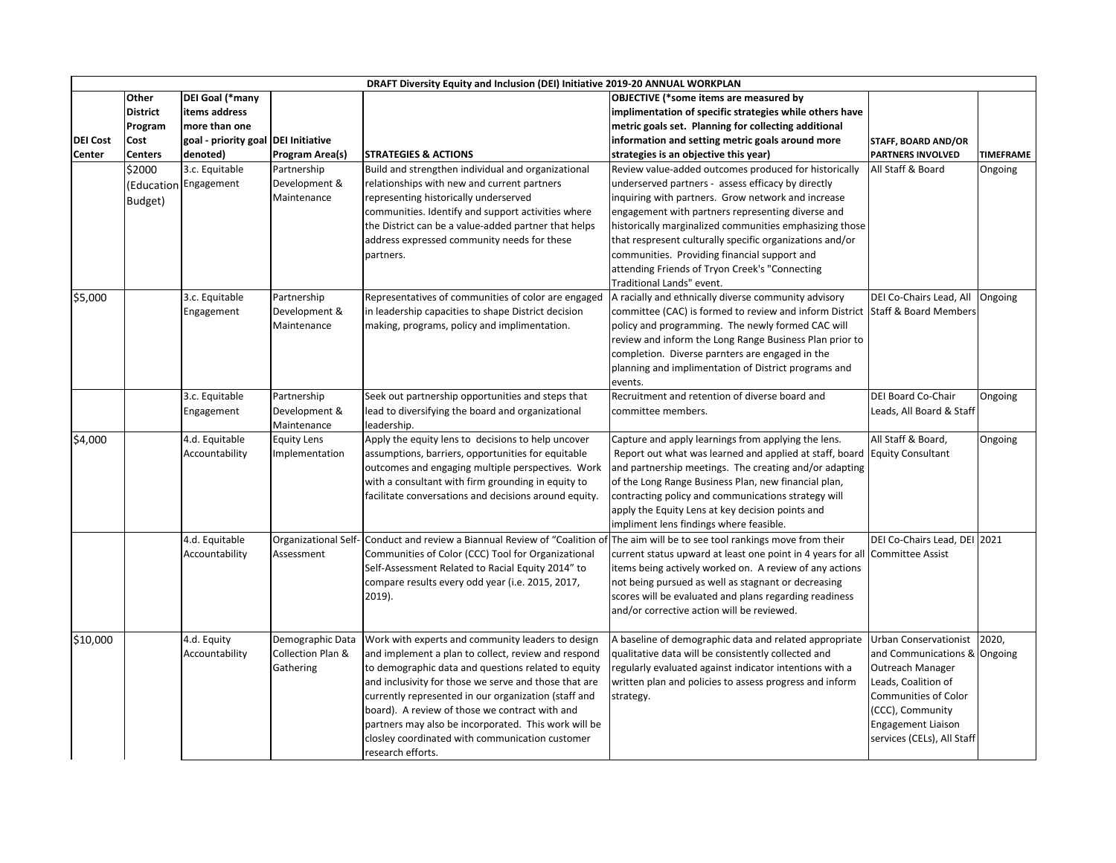|                 |                 |                                     |                                                  | DRAFT Diversity Equity and Inclusion (DEI) Initiative 2019-20 ANNUAL WORKPLAN                              |                                                                                                                |                                                  |                  |
|-----------------|-----------------|-------------------------------------|--------------------------------------------------|------------------------------------------------------------------------------------------------------------|----------------------------------------------------------------------------------------------------------------|--------------------------------------------------|------------------|
|                 | <b>Other</b>    | DEI Goal (*many                     |                                                  |                                                                                                            | <b>OBJECTIVE (*some items are measured by</b>                                                                  |                                                  |                  |
|                 | <b>District</b> | items address                       |                                                  |                                                                                                            | implimentation of specific strategies while others have                                                        |                                                  |                  |
|                 | Program         | more than one                       |                                                  |                                                                                                            | metric goals set. Planning for collecting additional                                                           |                                                  |                  |
| <b>DEI</b> Cost | <b>Cost</b>     | goal - priority goal DEI Initiative |                                                  |                                                                                                            | information and setting metric goals around more                                                               | <b>STAFF, BOARD AND/OR</b>                       |                  |
| <b>Center</b>   | <b>Centers</b>  | denoted)                            | <b>Program Area(s)</b>                           | <b>STRATEGIES &amp; ACTIONS</b>                                                                            | strategies is an objective this year)                                                                          | <b>PARTNERS INVOLVED</b>                         | <b>TIMEFRAME</b> |
|                 | \$2000          | 3.c. Equitable                      | Partnership                                      | Build and strengthen individual and organizational                                                         | Review value-added outcomes produced for historically                                                          | All Staff & Board                                | Ongoing          |
|                 |                 | (Education   Engagement             | Development &                                    | relationships with new and current partners                                                                | underserved partners - assess efficacy by directly                                                             |                                                  |                  |
|                 | Budget)         |                                     | Maintenance                                      | representing historically underserved                                                                      | inquiring with partners. Grow network and increase                                                             |                                                  |                  |
|                 |                 |                                     |                                                  | communities. Identify and support activities where                                                         | engagement with partners representing diverse and                                                              |                                                  |                  |
|                 |                 |                                     |                                                  | the District can be a value-added partner that helps                                                       | historically marginalized communities emphasizing those                                                        |                                                  |                  |
|                 |                 |                                     |                                                  | address expressed community needs for these                                                                | that respresent culturally specific organizations and/or                                                       |                                                  |                  |
|                 |                 |                                     |                                                  | partners.                                                                                                  | communities. Providing financial support and                                                                   |                                                  |                  |
|                 |                 |                                     |                                                  |                                                                                                            | attending Friends of Tryon Creek's "Connecting                                                                 |                                                  |                  |
|                 |                 |                                     |                                                  |                                                                                                            | Traditional Lands" event.                                                                                      |                                                  |                  |
| \$5,000         |                 | 3.c. Equitable                      | Partnership                                      | Representatives of communities of color are engaged                                                        | A racially and ethnically diverse community advisory                                                           | DEI Co-Chairs Lead, All Ongoing                  |                  |
|                 |                 | Engagement                          | Development &                                    | in leadership capacities to shape District decision                                                        | committee (CAC) is formed to review and inform District Staff & Board Members                                  |                                                  |                  |
|                 |                 |                                     | Maintenance                                      | making, programs, policy and implimentation.                                                               | policy and programming. The newly formed CAC will                                                              |                                                  |                  |
|                 |                 |                                     |                                                  |                                                                                                            | review and inform the Long Range Business Plan prior to<br>completion. Diverse parnters are engaged in the     |                                                  |                  |
|                 |                 |                                     |                                                  |                                                                                                            | planning and implimentation of District programs and                                                           |                                                  |                  |
|                 |                 |                                     |                                                  |                                                                                                            | events.                                                                                                        |                                                  |                  |
|                 |                 | 3.c. Equitable                      | Partnership                                      | Seek out partnership opportunities and steps that                                                          | Recruitment and retention of diverse board and                                                                 | DEI Board Co-Chair                               | Ongoing          |
|                 |                 | Engagement                          | Development &                                    | lead to diversifying the board and organizational                                                          | committee members.                                                                                             | Leads, All Board & Staff                         |                  |
|                 |                 |                                     | Maintenance                                      | leadership.                                                                                                |                                                                                                                |                                                  |                  |
| \$4,000         |                 | 4.d. Equitable                      | <b>Equity Lens</b>                               | Apply the equity lens to decisions to help uncover                                                         | Capture and apply learnings from applying the lens.                                                            | All Staff & Board,                               | Ongoing          |
|                 |                 | Accountability                      | Implementation                                   | assumptions, barriers, opportunities for equitable                                                         | Report out what was learned and applied at staff, board Equity Consultant                                      |                                                  |                  |
|                 |                 |                                     |                                                  | outcomes and engaging multiple perspectives. Work                                                          | and partnership meetings. The creating and/or adapting                                                         |                                                  |                  |
|                 |                 |                                     |                                                  | with a consultant with firm grounding in equity to                                                         | of the Long Range Business Plan, new financial plan,                                                           |                                                  |                  |
|                 |                 |                                     |                                                  | facilitate conversations and decisions around equity.                                                      | contracting policy and communications strategy will                                                            |                                                  |                  |
|                 |                 |                                     |                                                  |                                                                                                            | apply the Equity Lens at key decision points and                                                               |                                                  |                  |
|                 |                 |                                     |                                                  |                                                                                                            | impliment lens findings where feasible.                                                                        |                                                  |                  |
|                 |                 | 4.d. Equitable                      | Organizational Self                              | Conduct and review a Biannual Review of "Coalition of The aim will be to see tool rankings move from their |                                                                                                                | DEI Co-Chairs Lead, DEI 2021                     |                  |
|                 |                 | Accountability                      | Assessment                                       | Communities of Color (CCC) Tool for Organizational                                                         | current status upward at least one point in 4 years for all                                                    | Committee Assist                                 |                  |
|                 |                 |                                     |                                                  | Self-Assessment Related to Racial Equity 2014" to                                                          | items being actively worked on. A review of any actions                                                        |                                                  |                  |
|                 |                 |                                     |                                                  | compare results every odd year (i.e. 2015, 2017,                                                           | not being pursued as well as stagnant or decreasing                                                            |                                                  |                  |
|                 |                 |                                     |                                                  | 2019).                                                                                                     | scores will be evaluated and plans regarding readiness                                                         |                                                  |                  |
|                 |                 |                                     |                                                  |                                                                                                            | and/or corrective action will be reviewed.                                                                     |                                                  |                  |
|                 |                 |                                     |                                                  |                                                                                                            |                                                                                                                |                                                  |                  |
| \$10,000        |                 | 4.d. Equity                         | Demographic Data<br><b>Collection Plan &amp;</b> | Work with experts and community leaders to design<br>and implement a plan to collect, review and respond   | A baseline of demographic data and related appropriate                                                         | Urban Conservationist                            | 2020,            |
|                 |                 | Accountability                      | Gathering                                        | to demographic data and questions related to equity                                                        | qualitative data will be consistently collected and<br>regularly evaluated against indicator intentions with a | and Communications & Ongoing<br>Outreach Manager |                  |
|                 |                 |                                     |                                                  | and inclusivity for those we serve and those that are                                                      | written plan and policies to assess progress and inform                                                        | Leads, Coalition of                              |                  |
|                 |                 |                                     |                                                  | currently represented in our organization (staff and                                                       | strategy.                                                                                                      | <b>Communities of Color</b>                      |                  |
|                 |                 |                                     |                                                  | board). A review of those we contract with and                                                             |                                                                                                                | (CCC), Community                                 |                  |
|                 |                 |                                     |                                                  | partners may also be incorporated. This work will be                                                       |                                                                                                                | <b>Engagement Liaison</b>                        |                  |
|                 |                 |                                     |                                                  |                                                                                                            |                                                                                                                |                                                  |                  |
|                 |                 |                                     |                                                  | closley coordinated with communication customer                                                            |                                                                                                                | services (CELs), All Staff                       |                  |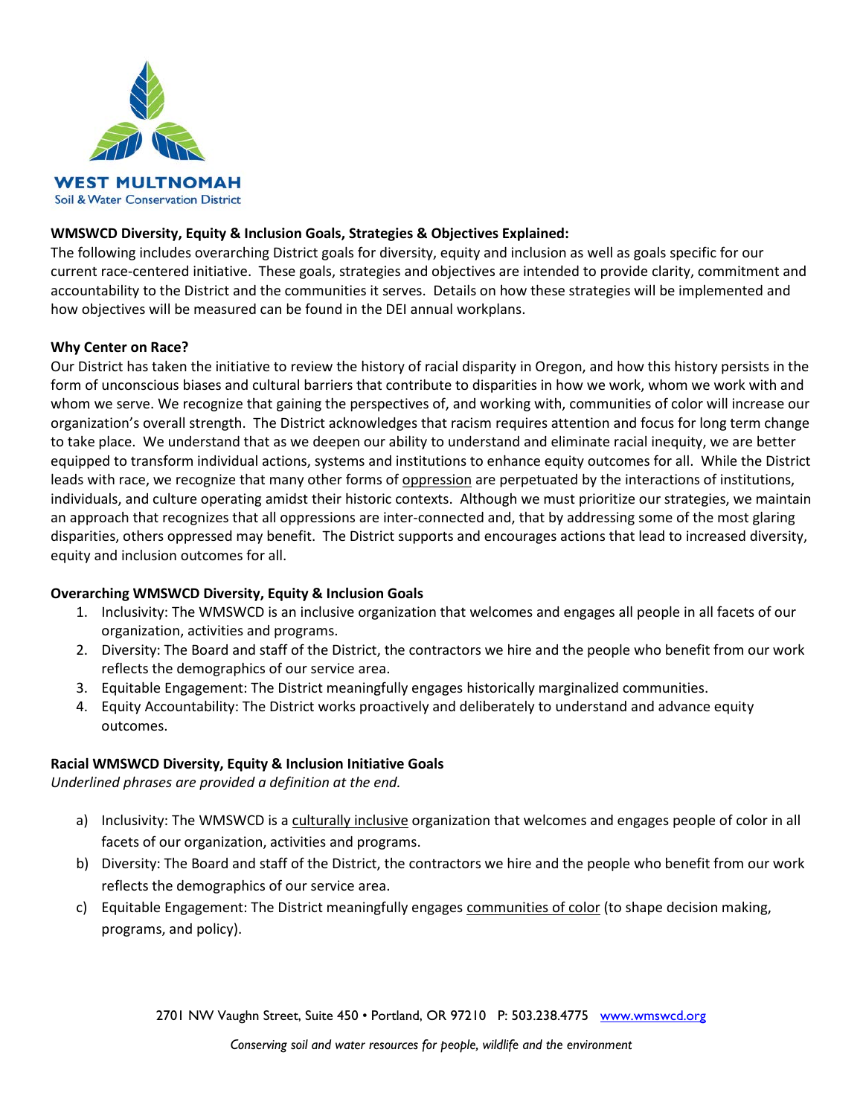

## **WMSWCD Diversity, Equity & Inclusion Goals, Strategies & Objectives Explained:**

The following includes overarching District goals for diversity, equity and inclusion as well as goals specific for our current race-centered initiative. These goals, strategies and objectives are intended to provide clarity, commitment and accountability to the District and the communities it serves. Details on how these strategies will be implemented and how objectives will be measured can be found in the DEI annual workplans.

## **Why Center on Race?**

Our District has taken the initiative to review the history of racial disparity in Oregon, and how this history persists in the form of unconscious biases and cultural barriers that contribute to disparities in how we work, whom we work with and whom we serve. We recognize that gaining the perspectives of, and working with, communities of color will increase our organization's overall strength. The District acknowledges that racism requires attention and focus for long term change to take place. We understand that as we deepen our ability to understand and eliminate racial inequity, we are better equipped to transform individual actions, systems and institutions to enhance equity outcomes for all. While the District leads with race, we recognize that many other forms of oppression are perpetuated by the interactions of institutions, individuals, and culture operating amidst their historic contexts. Although we must prioritize our strategies, we maintain an approach that recognizes that all oppressions are inter-connected and, that by addressing some of the most glaring disparities, others oppressed may benefit. The District supports and encourages actions that lead to increased diversity, equity and inclusion outcomes for all.

## **Overarching WMSWCD Diversity, Equity & Inclusion Goals**

- 1. Inclusivity: The WMSWCD is an inclusive organization that welcomes and engages all people in all facets of our organization, activities and programs.
- 2. Diversity: The Board and staff of the District, the contractors we hire and the people who benefit from our work reflects the demographics of our service area.
- 3. Equitable Engagement: The District meaningfully engages historically marginalized communities.
- 4. Equity Accountability: The District works proactively and deliberately to understand and advance equity outcomes.

## **Racial WMSWCD Diversity, Equity & Inclusion Initiative Goals**

*Underlined phrases are provided a definition at the end.*

- a) Inclusivity: The WMSWCD is a culturally inclusive organization that welcomes and engages people of color in all facets of our organization, activities and programs.
- b) Diversity: The Board and staff of the District, the contractors we hire and the people who benefit from our work reflects the demographics of our service area.
- c) Equitable Engagement: The District meaningfully engages communities of color (to shape decision making, programs, and policy).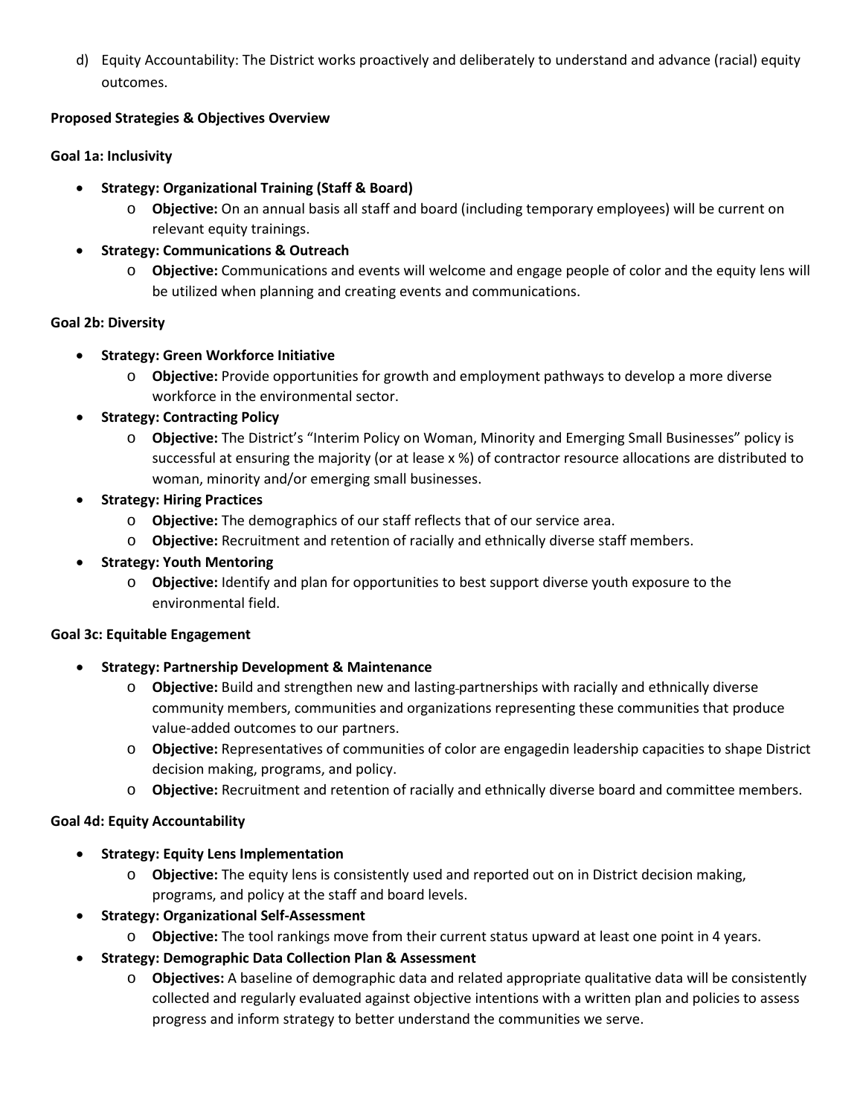d) Equity Accountability: The District works proactively and deliberately to understand and advance (racial) equity outcomes.

# **Proposed Strategies & Objectives Overview**

# **Goal 1a: Inclusivity**

- **Strategy: Organizational Training (Staff & Board)**
	- o **Objective:** On an annual basis all staff and board (including temporary employees) will be current on relevant equity trainings.
- **Strategy: Communications & Outreach**
	- o **Objective:** Communications and events will welcome and engage people of color and the equity lens will be utilized when planning and creating events and communications.

# **Goal 2b: Diversity**

- **Strategy: Green Workforce Initiative**
	- o **Objective:** Provide opportunities for growth and employment pathways to develop a more diverse workforce in the environmental sector.
- **Strategy: Contracting Policy**
	- o **Objective:** The District's "Interim Policy on Woman, Minority and Emerging Small Businesses" policy is successful at ensuring the majority (or at lease x %) of contractor resource allocations are distributed to woman, minority and/or emerging small businesses.
- **Strategy: Hiring Practices**
	- o **Objective:** The demographics of our staff reflects that of our service area.
	- o **Objective:** Recruitment and retention of racially and ethnically diverse staff members.
- **Strategy: Youth Mentoring**
	- o **Objective:** Identify and plan for opportunities to best support diverse youth exposure to the environmental field.

# **Goal 3c: Equitable Engagement**

- **Strategy: Partnership Development & Maintenance**
	- o **Objective:** Build and strengthen new and lasting partnerships with racially and ethnically diverse community members, communities and organizations representing these communities that produce value-added outcomes to our partners.
	- o **Objective:** Representatives of communities of color are engagedin leadership capacities to shape District decision making, programs, and policy.
	- o **Objective:** Recruitment and retention of racially and ethnically diverse board and committee members.

# **Goal 4d: Equity Accountability**

- **Strategy: Equity Lens Implementation**
	- o **Objective:** The equity lens is consistently used and reported out on in District decision making, programs, and policy at the staff and board levels.
- **Strategy: Organizational Self-Assessment**
	- o **Objective:** The tool rankings move from their current status upward at least one point in 4 years.
- **Strategy: Demographic Data Collection Plan & Assessment**
	- o **Objectives:** A baseline of demographic data and related appropriate qualitative data will be consistently collected and regularly evaluated against objective intentions with a written plan and policies to assess progress and inform strategy to better understand the communities we serve.